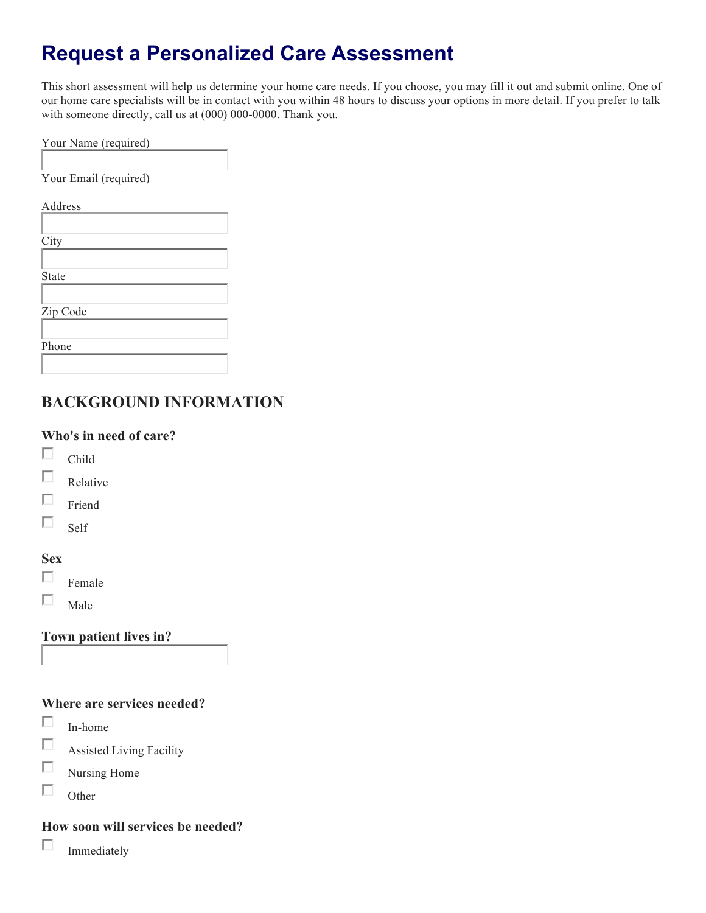# **Request a Personalized Care Assessment**

This short assessment will help us determine your home care needs. If you choose, you may fill it out and submit online. One of our home care specialists will be in contact with you within 48 hours to discuss your options in more detail. If you prefer to talk with someone directly, call us at (000) 000-0000. Thank you.

| Your Email (required)<br>Address<br>City | Your Name (required) |  |
|------------------------------------------|----------------------|--|
|                                          |                      |  |
|                                          |                      |  |
|                                          |                      |  |
|                                          |                      |  |
| <b>State</b><br>Zip Code<br>Phone        |                      |  |
|                                          |                      |  |
|                                          |                      |  |
|                                          |                      |  |
|                                          |                      |  |
|                                          |                      |  |
|                                          |                      |  |
|                                          |                      |  |
|                                          |                      |  |

# **BACKGROUND INFORMATION**

#### **Who's in need of care?**

- П Child
- П Relative
- П Friend
- П Self

### **Sex**

- П Female
- П Male

#### **Town patient lives in?**

**Where are services needed?**

- П In-home
- П Assisted Living Facility
- П Nursing Home
- П **Other**

### **How soon will services be needed?**

П Immediately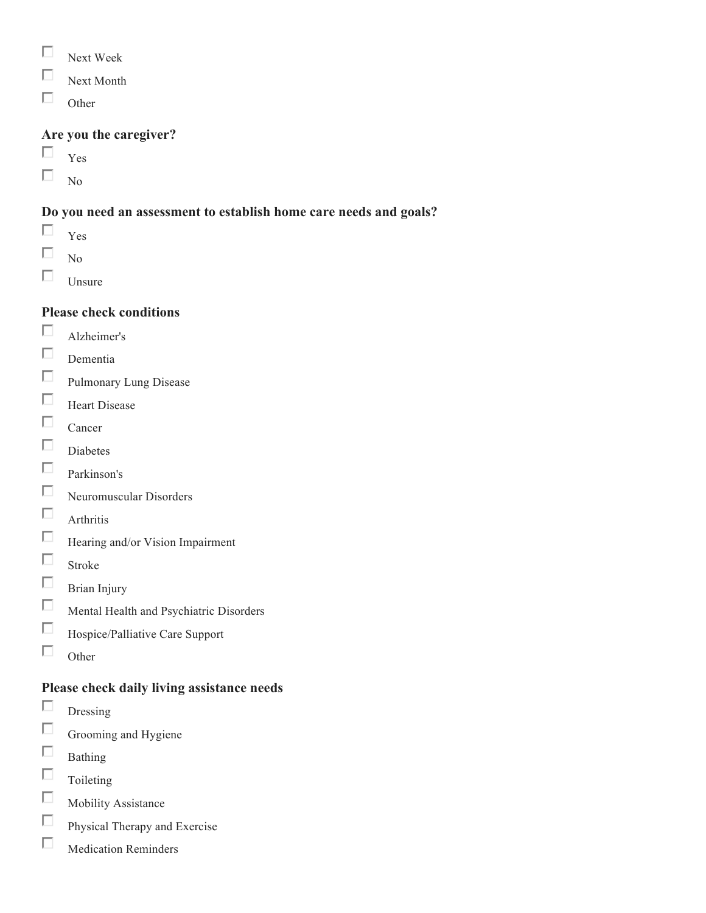- П Next Week
- П Next Month
- П Other

### **Are you the caregiver?**

- П Yes
- $\Box$ No

### **Do you need an assessment to establish home care needs and goals?**

- $\Box$ Yes
- П No
- П. Unsure

#### **Please check conditions**

- П Alzheimer's
- $\Box$ Dementia
- $\Box$ Pulmonary Lung Disease
- П Heart Disease
- П Cancer
- П Diabetes
- $\Box$ Parkinson's
- $\Box$ Neuromuscular Disorders
- $\Box$ Arthritis
- $\Box$ Hearing and/or Vision Impairment
- $\Box$ Stroke
- $\Box$ Brian Injury
- $\Box$ Mental Health and Psychiatric Disorders
- П Hospice/Palliative Care Support
- П Other

### **Please check daily living assistance needs**

- $\Box$ Dressing
- $\Box$ Grooming and Hygiene
- $\Box$ Bathing
- $\Box$ Toileting
- $\Box$ Mobility Assistance
- П Physical Therapy and Exercise
- $\Box$ Medication Reminders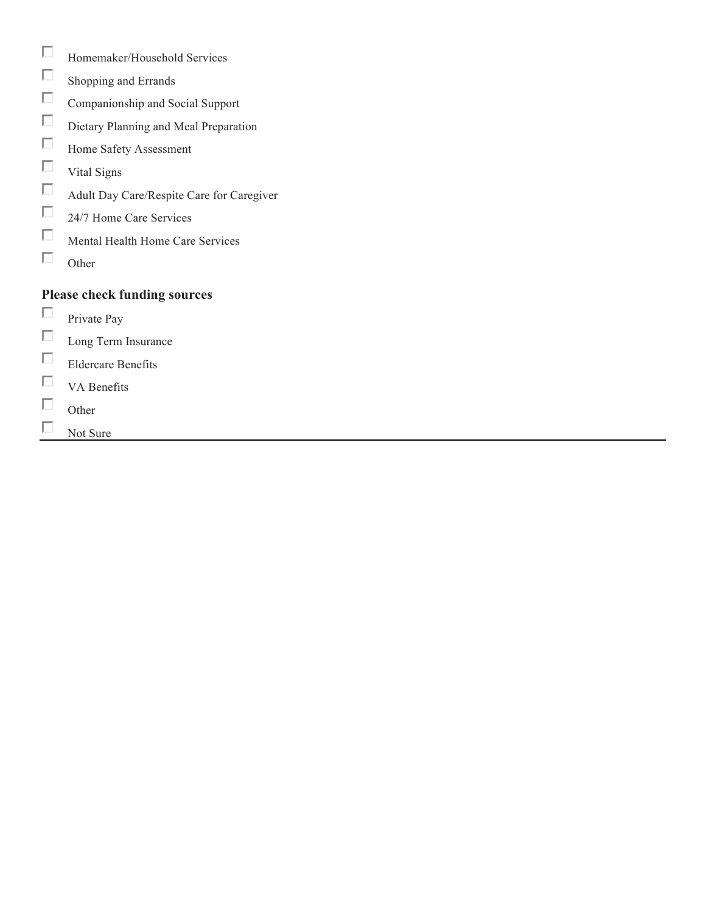| D | Homemaker/Household Services              |
|---|-------------------------------------------|
| г | Shopping and Errands                      |
| П | Companionship and Social Support          |
| п | Dietary Planning and Meal Preparation     |
| П | Home Safety Assessment                    |
| П | Vital Signs                               |
| г | Adult Day Care/Respite Care for Caregiver |
| п | 24/7 Home Care Services                   |
| п | Mental Health Home Care Services          |
|   | Other                                     |

# **Please check funding sources**

- $\Box$ Private Pay
- $\Box$ Long Term Insurance
- $\Box$ Eldercare Benefits
- $\Box$  VA Benefits
- $\Box$ Other
- Not Sure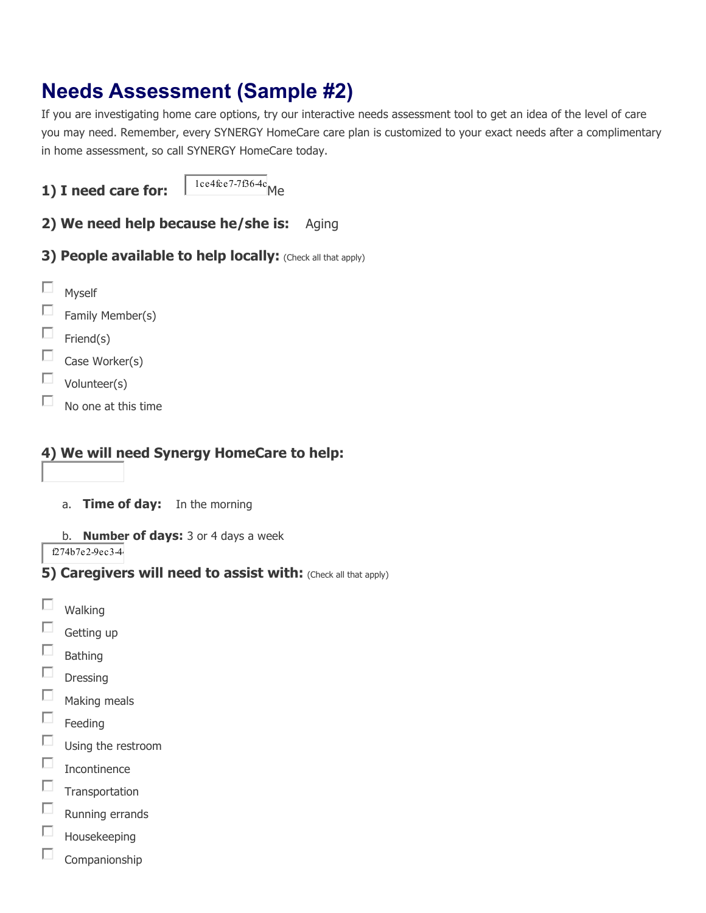# **Needs Assessment (Sample #2)**

If you are investigating home care options, try our interactive needs assessment tool to get an idea of the level of care you may need. Remember, every SYNERGY HomeCare care plan is customized to your exact needs after a complimentary in home assessment, so call SYNERGY HomeCare today.

**1) I need care for:**  $\sqrt{\frac{1 \text{ce4fce7-7f36-4c}}{1}}$ Me

- **2) We need help because he/she is:** Aging
- **3) People available to help locally:** (Check all that apply)

| Myself           |
|------------------|
| Family Member(s) |
| Friend(s)        |
| Case Worker(s)   |
| Volunteer(s)     |

П No one at this time

### **4) We will need Synergy HomeCare to help:**

- a. **Time of day:** In the morning
- b. **Number of days:** 3 or 4 days a week

f274b7e2-9ec3-44

- **5) Caregivers will need to assist with:** (Check all that apply)
- П Walking
- $\Box$ Getting up
- П Bathing
- П Dressing
- $\Box$ Making meals
- $\Box$ Feeding
- П Using the restroom
- $\Box$ Incontinence
- П **Transportation**
- П Running errands
- П Housekeeping
- П Companionship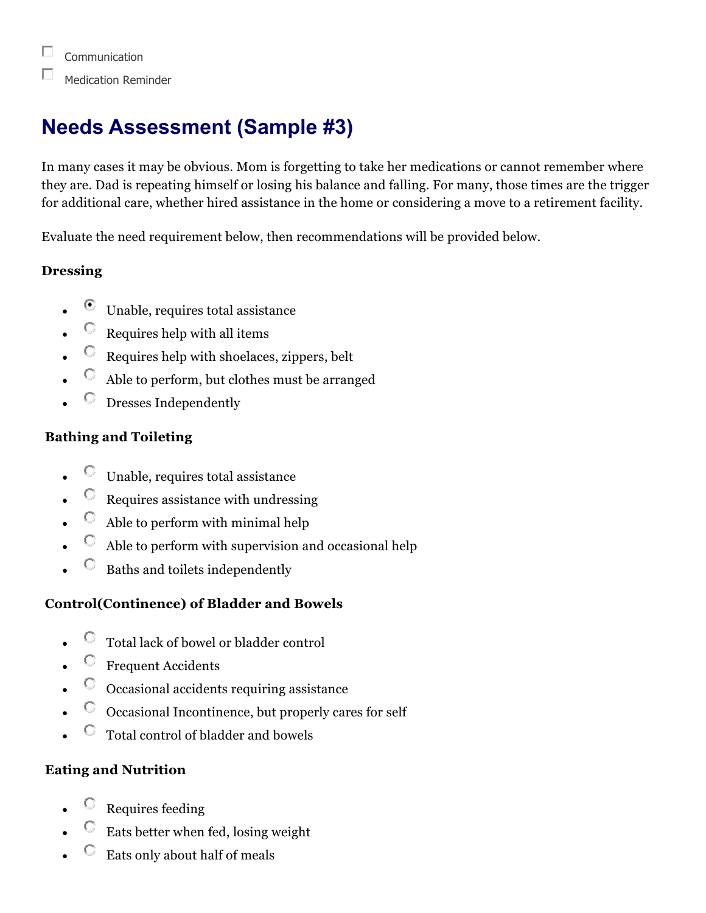

# **Needs Assessment (Sample #3)**

In many cases it may be obvious. Mom is forgetting to take her medications or cannot remember where they are. Dad is repeating himself or losing his balance and falling. For many, those times are the trigger for additional care, whether hired assistance in the home or considering a move to a retirement facility.

Evaluate the need requirement below, then recommendations will be provided below.

### **Dressing**

- Unable, requires total assistance
- $\heartsuit$  Requires help with all items
- $\heartsuit$  Requires help with shoelaces, zippers, belt
- $\degree$  Able to perform, but clothes must be arranged
- Dresses Independently

### **Bathing and Toileting**

- $\heartsuit$  Unable, requires total assistance
- $\degree$  Requires assistance with undressing
- $\heartsuit$  Able to perform with minimal help
- $\heartsuit$  Able to perform with supervision and occasional help
- Baths and toilets independently

## **Control(Continence) of Bladder and Bowels**

- Total lack of bowel or bladder control
- $\overline{\mathbb{C}}$  Frequent Accidents
- Occasional accidents requiring assistance
- Occasional Incontinence, but properly cares for self
- Total control of bladder and bowels

## **Eating and Nutrition**

- Requires feeding
- Eats better when fed, losing weight
- Eats only about half of meals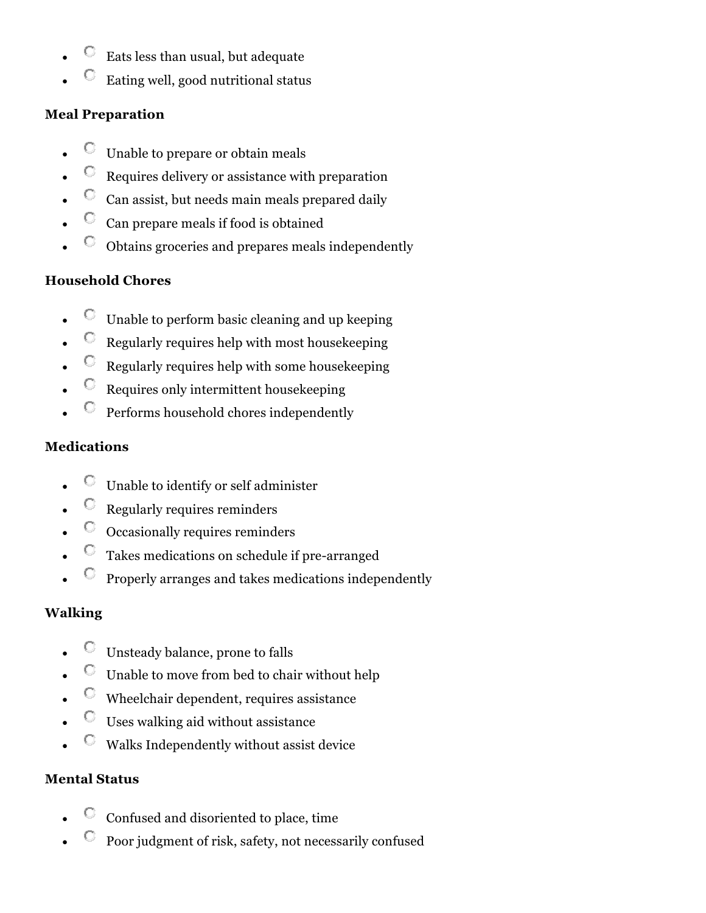- Eats less than usual, but adequate
- Eating well, good nutritional status

# **Meal Preparation**

- Unable to prepare or obtain meals
- $\degree$  Requires delivery or assistance with preparation
- $\degree$  Can assist, but needs main meals prepared daily
- $\degree$  Can prepare meals if food is obtained
- Obtains groceries and prepares meals independently

# **Household Chores**

- $\heartsuit$  Unable to perform basic cleaning and up keeping
- $\heartsuit$  Regularly requires help with most house keeping
- $\heartsuit$  Regularly requires help with some house keeping
- $\heartsuit$  Requires only intermittent housekeeping
- $\heartsuit$  Performs household chores independently

# **Medications**

- $\heartsuit$  Unable to identify or self administer
- $\heartsuit$  Regularly requires reminders
- $\degree$  Occasionally requires reminders
- Takes medications on schedule if pre-arranged
- Properly arranges and takes medications independently

# **Walking**

- Unsteady balance, prone to falls
- $\heartsuit$  Unable to move from bed to chair without help
- $\heartsuit$  Wheelchair dependent, requires assistance
- $\heartsuit$  Uses walking aid without assistance
- $\heartsuit$  Walks Independently without assist device

# **Mental Status**

- Confused and disoriented to place, time
- Poor judgment of risk, safety, not necessarily confused